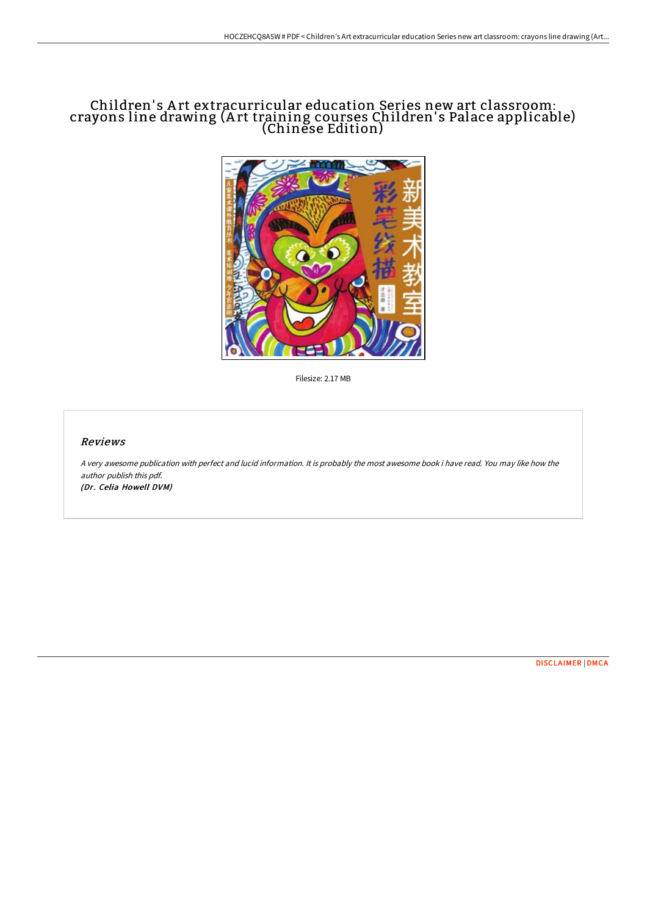## Children' s A rt extracurricular education Series new art classroom: crayons line drawing (A rt training courses Children' s Palace applicable) (Chinese Edition)



Filesize: 2.17 MB

## Reviews

A very awesome publication with perfect and lucid information. It is probably the most awesome book i have read. You may like how the author publish this pdf. (Dr. Celia Howell DVM)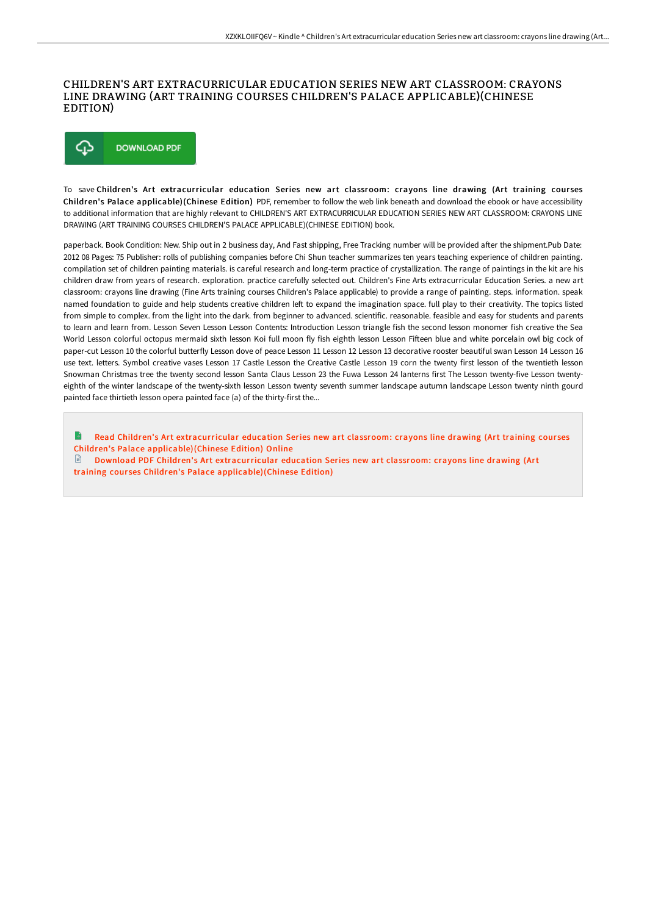## CHILDREN'S ART EXTRACURRICULAR EDUCATION SERIES NEW ART CLASSROOM: CRAYONS LINE DRAWING (ART TRAINING COURSES CHILDREN'S PALACE APPLICABLE)(CHINESE EDITION)



To save Children's Art extracurricular education Series new art classroom: crayons line drawing (Art training cour ses Children's Palace applicable)(Chinese Edition) PDF, remember to follow the web link beneath and download the ebook or have accessibility to additional information that are highly relevant to CHILDREN'S ART EXTRACURRICULAR EDUCATION SERIES NEW ART CLASSROOM: CRAYONS LINE DRAWING (ART TRAINING COURSES CHILDREN'S PALACE APPLICABLE)(CHINESE EDITION) book.

paperback. Book Condition: New. Ship out in 2 business day, And Fast shipping, Free Tracking number will be provided after the shipment.Pub Date: 2012 08 Pages: 75 Publisher: rolls of publishing companies before Chi Shun teacher summarizes ten years teaching experience of children painting. compilation set of children painting materials. is careful research and long-term practice of crystallization. The range of paintings in the kit are his children draw from years of research. exploration. practice carefully selected out. Children's Fine Arts extracurricular Education Series. a new art classroom: crayons line drawing (Fine Arts training courses Children's Palace applicable) to provide a range of painting. steps. information. speak named foundation to guide and help students creative children left to expand the imagination space. full play to their creativity. The topics listed from simple to complex. from the light into the dark. from beginner to advanced. scientific. reasonable. feasible and easy for students and parents to learn and learn from. Lesson Seven Lesson Lesson Contents: Introduction Lesson triangle fish the second lesson monomer fish creative the Sea World Lesson colorful octopus mermaid sixth lesson Koi full moon fly fish eighth lesson Lesson Fifteen blue and white porcelain owl big cock of paper-cut Lesson 10 the colorful butterfly Lesson dove of peace Lesson 11 Lesson 12 Lesson 13 decorative rooster beautiful swan Lesson 14 Lesson 16 use text. letters. Symbol creative vases Lesson 17 Castle Lesson the Creative Castle Lesson 19 corn the twenty first lesson of the twentieth lesson Snowman Christmas tree the twenty second lesson Santa Claus Lesson 23 the Fuwa Lesson 24 lanterns first The Lesson twenty-five Lesson twentyeighth of the winter landscape of the twenty-sixth lesson Lesson twenty seventh summer landscape autumn landscape Lesson twenty ninth gourd painted face thirtieth lesson opera painted face (a) of the thirty-first the...

Read Children's Art extracurricular education Series new art classroom: crayons line drawing (Art training courses Children's Palace [applicable\)\(Chinese](http://bookera.tech/children-x27-s-art-extracurricular-education-ser-1.html) Edition) Online

G) Download PDF Children's Art extracurricular education Series new art classroom: crayons line drawing (Art training courses Children's Palace [applicable\)\(Chinese](http://bookera.tech/children-x27-s-art-extracurricular-education-ser-1.html) Edition)